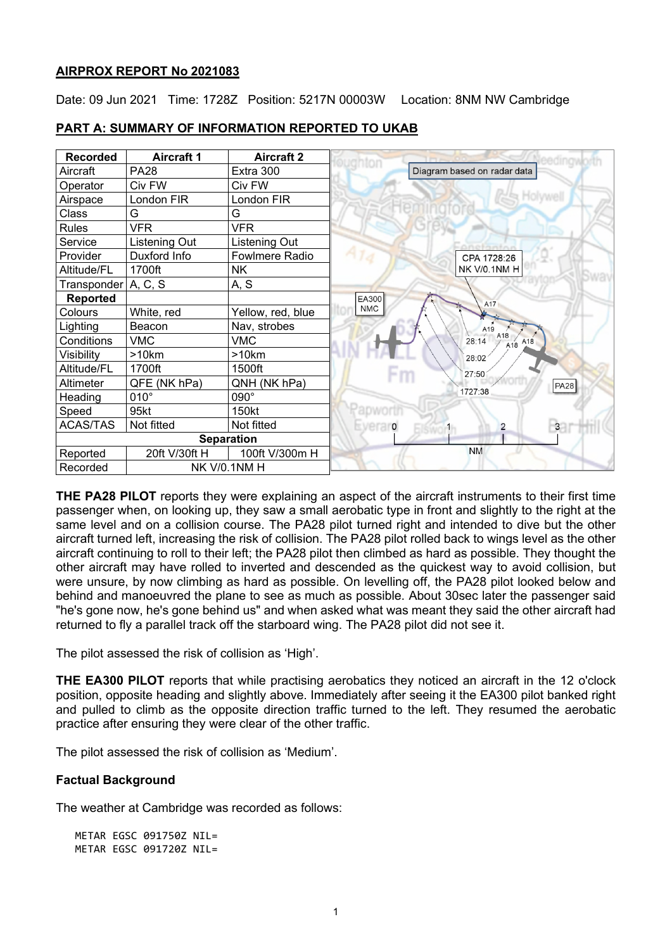#### **AIRPROX REPORT No 2021083**

Date: 09 Jun 2021 Time: 1728Z Position: 5217N 00003W Location: 8NM NW Cambridge

| <b>Recorded</b>          | <b>Aircraft 1</b> | <b>Aircraft 2</b>    |  |
|--------------------------|-------------------|----------------------|--|
| Aircraft                 | <b>PA28</b>       | Extra 300            |  |
| Operator                 | Civ FW            | Civ FW               |  |
| Airspace                 | London FIR        | London FIR           |  |
| Class                    | G                 | G                    |  |
| <b>Rules</b>             | <b>VFR</b>        | <b>VFR</b>           |  |
| Service                  | Listening Out     | <b>Listening Out</b> |  |
| Provider                 | Duxford Info      | Fowlmere Radio       |  |
| Altitude/FL              | 1700ft            | NΚ                   |  |
| Transponder   A, C, S    |                   | A, S                 |  |
| <b>Reported</b>          |                   |                      |  |
| Colours                  | White, red        | Yellow, red, blue    |  |
| Lighting                 | Beacon            | Nav, strobes         |  |
| Conditions               | <b>VMC</b>        | <b>VMC</b>           |  |
| Visibility               | >10km             | >10km                |  |
| Altitude/FL              | 1700ft            | 1500ft               |  |
| Altimeter                | QFE (NK hPa)      | QNH (NK hPa)         |  |
| Heading                  | $010^\circ$       | 090°                 |  |
| Speed                    | 95kt              | 150kt                |  |
| <b>ACAS/TAS</b>          | Not fitted        | Not fitted           |  |
| <b>Separation</b>        |                   |                      |  |
| Reported                 | 20ft V/30ft H     | 100ft V/300m H       |  |
| Recorded<br>NK V/0.1NM H |                   |                      |  |

**PART A: SUMMARY OF INFORMATION REPORTED TO UKAB**

**THE PA28 PILOT** reports they were explaining an aspect of the aircraft instruments to their first time passenger when, on looking up, they saw a small aerobatic type in front and slightly to the right at the same level and on a collision course. The PA28 pilot turned right and intended to dive but the other aircraft turned left, increasing the risk of collision. The PA28 pilot rolled back to wings level as the other aircraft continuing to roll to their left; the PA28 pilot then climbed as hard as possible. They thought the other aircraft may have rolled to inverted and descended as the quickest way to avoid collision, but were unsure, by now climbing as hard as possible. On levelling off, the PA28 pilot looked below and behind and manoeuvred the plane to see as much as possible. About 30sec later the passenger said "he's gone now, he's gone behind us" and when asked what was meant they said the other aircraft had returned to fly a parallel track off the starboard wing. The PA28 pilot did not see it.

The pilot assessed the risk of collision as 'High'.

**THE EA300 PILOT** reports that while practising aerobatics they noticed an aircraft in the 12 o'clock position, opposite heading and slightly above. Immediately after seeing it the EA300 pilot banked right and pulled to climb as the opposite direction traffic turned to the left. They resumed the aerobatic practice after ensuring they were clear of the other traffic.

The pilot assessed the risk of collision as 'Medium'.

#### **Factual Background**

The weather at Cambridge was recorded as follows:

METAR EGSC 091750Z NIL= METAR EGSC 091720Z NIL=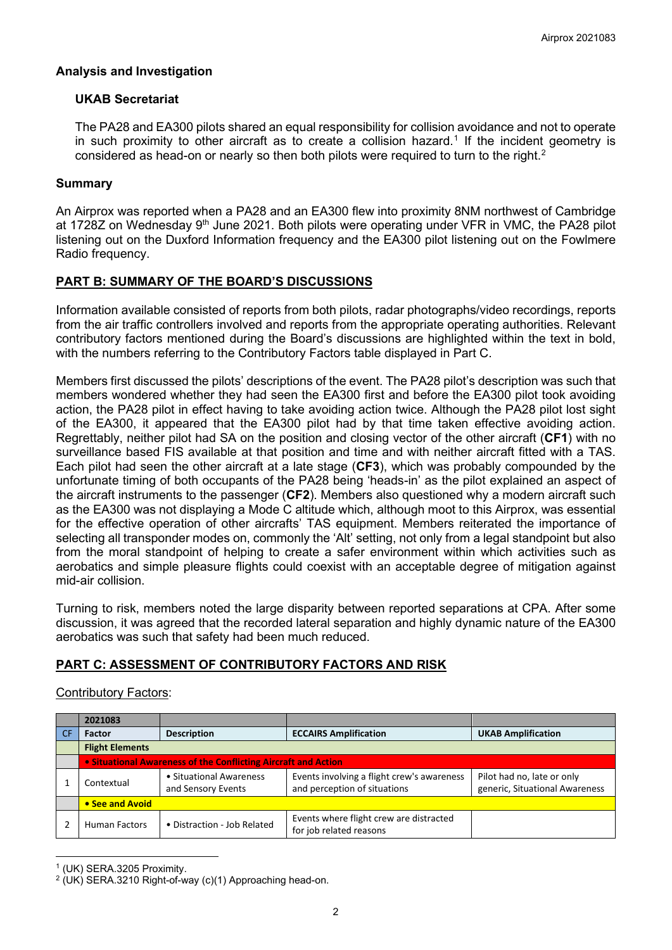## **Analysis and Investigation**

## **UKAB Secretariat**

The PA28 and EA300 pilots shared an equal responsibility for collision avoidance and not to operate in such proximity to other aircraft as to create a collision hazard. [1](#page-1-0) If the incident geometry is considered as head-on or nearly so then both pilots were required to turn to the right.<sup>[2](#page-1-1)</sup>

## **Summary**

An Airprox was reported when a PA28 and an EA300 flew into proximity 8NM northwest of Cambridge at 1728Z on Wednesday  $9<sup>th</sup>$  June 2021. Both pilots were operating under VFR in VMC, the PA28 pilot listening out on the Duxford Information frequency and the EA300 pilot listening out on the Fowlmere Radio frequency.

## **PART B: SUMMARY OF THE BOARD'S DISCUSSIONS**

Information available consisted of reports from both pilots, radar photographs/video recordings, reports from the air traffic controllers involved and reports from the appropriate operating authorities. Relevant contributory factors mentioned during the Board's discussions are highlighted within the text in bold, with the numbers referring to the Contributory Factors table displayed in Part C.

Members first discussed the pilots' descriptions of the event. The PA28 pilot's description was such that members wondered whether they had seen the EA300 first and before the EA300 pilot took avoiding action, the PA28 pilot in effect having to take avoiding action twice. Although the PA28 pilot lost sight of the EA300, it appeared that the EA300 pilot had by that time taken effective avoiding action. Regrettably, neither pilot had SA on the position and closing vector of the other aircraft (**CF1**) with no surveillance based FIS available at that position and time and with neither aircraft fitted with a TAS. Each pilot had seen the other aircraft at a late stage (**CF3**), which was probably compounded by the unfortunate timing of both occupants of the PA28 being 'heads-in' as the pilot explained an aspect of the aircraft instruments to the passenger (**CF2**). Members also questioned why a modern aircraft such as the EA300 was not displaying a Mode C altitude which, although moot to this Airprox, was essential for the effective operation of other aircrafts' TAS equipment. Members reiterated the importance of selecting all transponder modes on, commonly the 'Alt' setting, not only from a legal standpoint but also from the moral standpoint of helping to create a safer environment within which activities such as aerobatics and simple pleasure flights could coexist with an acceptable degree of mitigation against mid-air collision.

Turning to risk, members noted the large disparity between reported separations at CPA. After some discussion, it was agreed that the recorded lateral separation and highly dynamic nature of the EA300 aerobatics was such that safety had been much reduced.

# **PART C: ASSESSMENT OF CONTRIBUTORY FACTORS AND RISK**

## Contributory Factors:

|           | 2021083                                                        |                                               |                                                                            |                                                              |  |  |
|-----------|----------------------------------------------------------------|-----------------------------------------------|----------------------------------------------------------------------------|--------------------------------------------------------------|--|--|
| <b>CF</b> | <b>Factor</b>                                                  | <b>Description</b>                            | <b>ECCAIRS Amplification</b>                                               | <b>UKAB Amplification</b>                                    |  |  |
|           | <b>Flight Elements</b>                                         |                                               |                                                                            |                                                              |  |  |
|           | • Situational Awareness of the Conflicting Aircraft and Action |                                               |                                                                            |                                                              |  |  |
|           | Contextual                                                     | • Situational Awareness<br>and Sensory Events | Events involving a flight crew's awareness<br>and perception of situations | Pilot had no, late or only<br>generic, Situational Awareness |  |  |
|           | • See and Avoid                                                |                                               |                                                                            |                                                              |  |  |
|           | <b>Human Factors</b>                                           | • Distraction - Job Related                   | Events where flight crew are distracted<br>for job related reasons         |                                                              |  |  |

<span id="page-1-0"></span><sup>1</sup> (UK) SERA.3205 Proximity.

<span id="page-1-1"></span><sup>2</sup> (UK) SERA.3210 Right-of-way (c)(1) Approaching head-on.